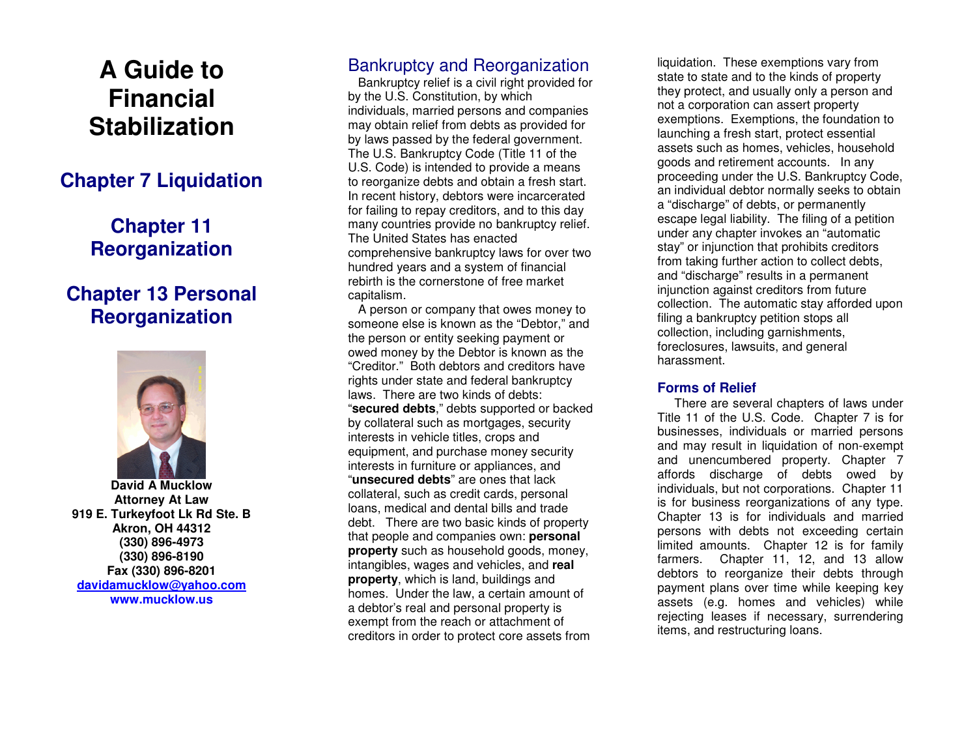# **A Guide to Financial Stabilization**

### **Chapter 7 Liquidation**

# **Chapter 11 Reorganization**

## **Chapter 13 Personal Reorganization**



**David A Mucklow Attorney At Law 919 E. Turkeyfoot Lk Rd Ste. B Akron, OH 44312 (330) 896-4973 (330) 896-8190 Fax (330) 896-8201 davidamucklow@yahoo.comwww.mucklow.us** 

### Bankruptcy and Reorganization

 Bankruptcy relief is a civil right provided for by the U.S. Constitution, by which individuals, married persons and companies may obtain relief from debts as provided for by laws passed by the federal government. The U.S. Bankruptcy Code (Title 11 of the U.S. Code) is intended to provide a means to reorganize debts and obtain a fresh start. In recent history, debtors were incarcerated for failing to repay creditors, and to this day many countries provide no bankruptcy relief. The United States has enacted comprehensive bankruptcy laws for over two hundred years and a system of financial rebirth is the cornerstone of free market capitalism.

 A person or company that owes money to someone else is known as the "Debtor," and the person or entity seeking payment or owed money by the Debtor is known as the "Creditor." Both debtors and creditors have rights under state and federal bankruptcy laws. There are two kinds of debts: "**secured debts**," debts supported or backed by collateral such as mortgages, security interests in vehicle titles, crops and equipment, and purchase money security interests in furniture or appliances, and "**unsecured debts**" are ones that lack collateral, such as credit cards, personal loans, medical and dental bills and trade debt. There are two basic kinds of property that people and companies own: **personal property** such as household goods, money, intangibles, wages and vehicles, and **real property**, which is land, buildings and homes. Under the law, a certain amount of a debtor's real and personal property is exempt from the reach or attachment of creditors in order to protect core assets from

liquidation. These exemptions vary from state to state and to the kinds of property they protect, and usually only a person and not a corporation can assert property exemptions. Exemptions, the foundation to launching a fresh start, protect essential assets such as homes, vehicles, household goods and retirement accounts. In any proceeding under the U.S. Bankruptcy Code, an individual debtor normally seeks to obtain a "discharge" of debts, or permanently escape legal liability. The filing of a petition under any chapter invokes an "automatic stay" or injunction that prohibits creditors from taking further action to collect debts, and "discharge" results in a permanent injunction against creditors from future collection. The automatic stay afforded upon filing a bankruptcy petition stops all collection, including garnishments, foreclosures, lawsuits, and general harassment.

### **Forms of Relief**

 There are several chapters of laws under Title 11 of the U.S. Code. Chapter 7 is for businesses, individuals or married persons and may result in liquidation of non-exempt and unencumbered property. Chapter 7 affords discharge of debts owed by individuals, but not corporations. Chapter 11 is for business reorganizations of any type. Chapter 13 is for individuals and married persons with debts not exceeding certain limited amounts. Chapter 12 is for family farmers. Chapter 11, 12, and 13 allow debtors to reorganize their debts through payment plans over time while keeping key assets (e.g. homes and vehicles) while rejecting leases if necessary, surrendering items, and restructuring loans.